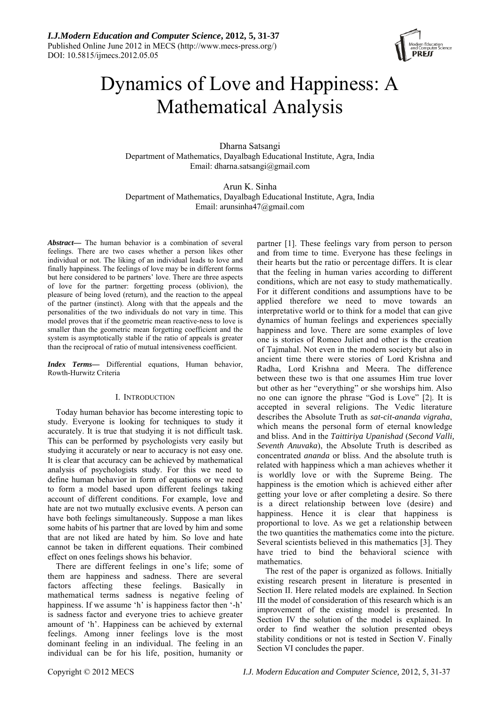

# Dynamics of Love and Happiness: A Mathematical Analysis

Dharna Satsangi Department of Mathematics, Dayalbagh Educational Institute, Agra, India Email: dharna.satsangi@gmail.com

Arun K. Sinha Department of Mathematics, Dayalbagh Educational Institute, Agra, India Email: arunsinha47@gmail.com

*Abstract***—** The human behavior is a combination of several feelings. There are two cases whether a person likes other individual or not. The liking of an individual leads to love and finally happiness. The feelings of love may be in different forms but here considered to be partners' love. There are three aspects of love for the partner: forgetting process (oblivion), the pleasure of being loved (return), and the reaction to the appeal of the partner (instinct). Along with that the appeals and the personalities of the two individuals do not vary in time. This model proves that if the geometric mean reactive-ness to love is smaller than the geometric mean forgetting coefficient and the system is asymptotically stable if the ratio of appeals is greater than the reciprocal of ratio of mutual intensiveness coefficient.

*Index Terms***—** Differential equations, Human behavior, Rowth-Hurwitz Criteria

# I. INTRODUCTION

Today human behavior has become interesting topic to study. Everyone is looking for techniques to study it accurately. It is true that studying it is not difficult task. This can be performed by psychologists very easily but studying it accurately or near to accuracy is not easy one. It is clear that accuracy can be achieved by mathematical analysis of psychologists study. For this we need to define human behavior in form of equations or we need to form a model based upon different feelings taking account of different conditions. For example, love and hate are not two mutually exclusive events. A person can have both feelings simultaneously. Suppose a man likes some habits of his partner that are loved by him and some that are not liked are hated by him. So love and hate cannot be taken in different equations. Their combined effect on ones feelings shows his behavior.

There are different feelings in one's life; some of them are happiness and sadness. There are several factors affecting these feelings. Basically in mathematical terms sadness is negative feeling of happiness. If we assume 'h' is happiness factor then '-h' is sadness factor and everyone tries to achieve greater amount of 'h'. Happiness can be achieved by external feelings. Among inner feelings love is the most dominant feeling in an individual. The feeling in an individual can be for his life, position, humanity or

partner [1]. These feelings vary from person to person and from time to time. Everyone has these feelings in their hearts but the ratio or percentage differs. It is clear that the feeling in human varies according to different conditions, which are not easy to study mathematically. For it different conditions and assumptions have to be applied therefore we need to move towards an interpretative world or to think for a model that can give dynamics of human feelings and experiences specially happiness and love. There are some examples of love one is stories of Romeo Juliet and other is the creation of Tajmahal. Not even in the modern society but also in ancient time there were stories of Lord Krishna and Radha, Lord Krishna and Meera. The difference between these two is that one assumes Him true lover but other as her "everything" or she worships him. Also no one can ignore the phrase "God is Love" [2]. It is accepted in several religions. The Vedic literature describes the Absolute Truth as *sat-cit-ananda vigraha*, which means the personal form of eternal knowledge and bliss. And in the *Taittiriya Upanishad* (*Second Valli, Seventh Anuvaka*), the Absolute Truth is described as concentrated *ananda* or bliss. And the absolute truth is related with happiness which a man achieves whether it is worldly love or with the Supreme Being. The happiness is the emotion which is achieved either after getting your love or after completing a desire. So there is a direct relationship between love (desire) and happiness. Hence it is clear that happiness is proportional to love. As we get a relationship between the two quantities the mathematics come into the picture. Several scientists believed in this mathematics [3]. They have tried to bind the behavioral science with mathematics.

The rest of the paper is organized as follows. Initially existing research present in literature is presented in Section II. Here related models are explained. In Section III the model of consideration of this research which is an improvement of the existing model is presented. In Section IV the solution of the model is explained. In order to find weather the solution presented obeys stability conditions or not is tested in Section V. Finally Section VI concludes the paper.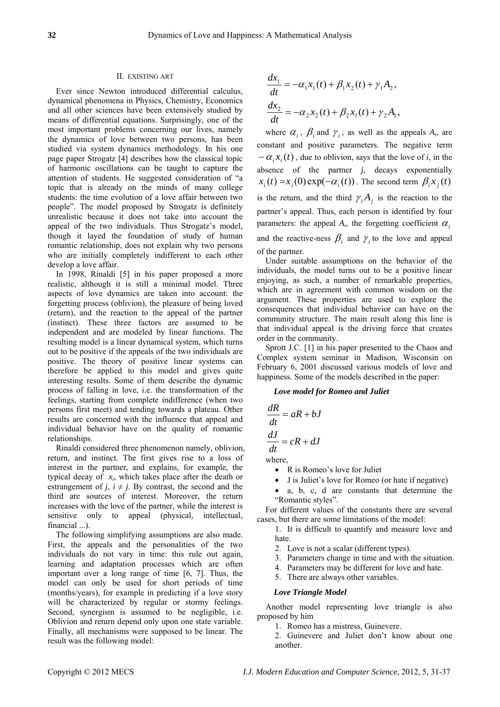## II. EXISTING ART

Ever since Newton introduced differential calculus, dynamical phenomena in Physics, Chemistry, Economics and all other sciences have been extensively studied by means of differential equations. Surprisingly, one of the most important problems concerning our lives, namely the dynamics of love between two persons, has been studied via system dynamics methodology. In his one page paper Strogatz [4] describes how the classical topic of harmonic oscillations can be taught to capture the attention of students. He suggested consideration of "a topic that is already on the minds of many college students: the time evolution of a love affair between two people". The model proposed by Strogatz is definitely unrealistic because it does not take into account the appeal of the two individuals. Thus Strogatz's model, though it layed the foundation of study of human romantic relationship, does not explain why two persons who are initially completely indifferent to each other develop a love affair.

In 1998, Rinaldi [5] in his paper proposed a more realistic, although it is still a minimal model. Three aspects of love dynamics are taken into account: the forgetting process (oblivion), the pleasure of being loved (return), and the reaction to the appeal of the partner (instinct). These three factors are assumed to be independent and are modeled by linear functions. The resulting model is a linear dynamical system, which turns out to be positive if the appeals of the two individuals are positive. The theory of positive linear systems can therefore be applied to this model and gives quite interesting results. Some of them describe the dynamic process of falling in love, i.e. the transformation of the feelings, starting from complete indifference (when two persons first meet) and tending towards a plateau. Other results are concerned with the influence that appeal and individual behavior have on the quality of romantic relationships.

Rinaldi considered three phenomenon namely, oblivion, return, and instinct. The first gives rise to a loss of interest in the partner, and explains, for example, the typical decay of *xi*, which takes place after the death or estrangement of *j*,  $i \neq j$ . By contrast, the second and the third are sources of interest. Moreover, the return increases with the love of the partner, while the interest is sensitive only to appeal (physical, intellectual, financial ...).

The following simplifying assumptions are also made. First, the appeals and the personalities of the two individuals do not vary in time: this rule out again, learning and adaptation processes which are often important over a long range of time [6, 7]. Thus, the model can only be used for short periods of time (months/years), for example in predicting if a love story will be characterized by regular or stormy feelings. Second, synergism is assumed to be negligible, i.e. Oblivion and return depend only upon one state variable. Finally, all mechanisms were supposed to be linear. The result was the following model:

$$
\frac{dx_1}{dt} = -\alpha_1 x_1(t) + \beta_1 x_2(t) + \gamma_1 A_2,
$$
  

$$
\frac{dx_2}{dt} = -\alpha_2 x_2(t) + \beta_2 x_1(t) + \gamma_2 A_1,
$$

where  $\alpha_i$ ,  $\beta_i$  and  $\gamma_i$ , as well as the appeals  $A_i$ , are constant and positive parameters. The negative term  $-\alpha_i x_i(t)$ , due to oblivion, says that the love of *i*, in the absence of the partner *j*, decays exponentially  $x_i(t) = x_i(0) \exp(-\alpha_i(t))$ . The second term  $\beta_i x_i(t)$ is the return, and the third  $\gamma_i A_j$  is the reaction to the partner's appeal. Thus, each person is identified by four parameters: the appeal  $A_i$ , the forgetting coefficient  $\alpha_i$ and the reactive-ness  $\beta_i$  and  $\gamma_i$  to the love and appeal of the partner.

Under suitable assumptions on the behavior of the individuals, the model turns out to be a positive linear enjoying, as such, a number of remarkable properties, which are in agreement with common wisdom on the argument. These properties are used to explore the consequences that individual behavior can have on the community structure. The main result along this line is that individual appeal is the driving force that creates order in the community.

Sprott J.C. [1] in his paper presented to the Chaos and Complex system seminar in Madison, Wisconsin on February 6, 2001 discussed various models of love and happiness. Some of the models described in the paper:

### *Love model for Romeo and Juliet*

$$
\frac{dR}{dt} = aR + bJ
$$

$$
\frac{dJ}{dt} = cR + dJ
$$
where,

• R is Romeo's love for Juliet

- J is Juliet's love for Romeo (or hate if negative)
- a, b, c, d are constants that determine the "Romantic styles".

For different values of the constants there are several cases, but there are some limitations of the model:

1. It is difficult to quantify and measure love and hate.

- 2. Love is not a scalar (different types).
- 3. Parameters change in time and with the situation.
- 4. Parameters may be different for love and hate.
- 5. There are always other variables.

#### *Love Triangle Model*

Another model representing love triangle is also proposed by him

1. Romeo has a mistress, Guinevere.

2. Guinevere and Juliet don't know about one another.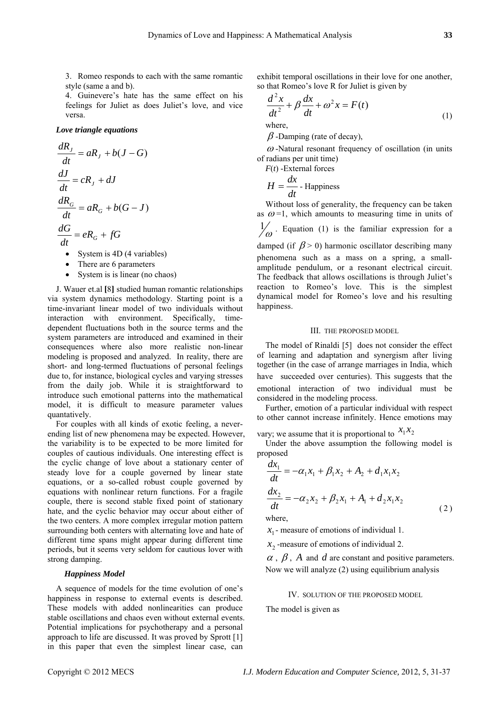3. Romeo responds to each with the same romantic style (same a and b).

4. Guinevere's hate has the same effect on his feelings for Juliet as does Juliet's love, and vice versa.

#### *Love triangle equations*

$$
\frac{dR_J}{dt} = aR_J + b(J - G)
$$
\n
$$
\frac{dJ}{dt} = cR_J + dJ
$$
\n
$$
\frac{dR_G}{dt} = aR_G + b(G - J)
$$
\n
$$
\frac{dG}{dt} = eR_G + fG
$$
\n• System is 4D (4 variables)\n• There are 6 parameters

• System is is linear (no chaos)

J. Wauer et.al **[**8**]** studied human romantic relationships via system dynamics methodology. Starting point is a time-invariant linear model of two individuals without interaction with environment. Specifically, timedependent fluctuations both in the source terms and the system parameters are introduced and examined in their consequences where also more realistic non-linear modeling is proposed and analyzed. In reality, there are short- and long-termed fluctuations of personal feelings due to, for instance, biological cycles and varying stresses from the daily job. While it is straightforward to introduce such emotional patterns into the mathematical model, it is difficult to measure parameter values quantatively.

For couples with all kinds of exotic feeling, a neverending list of new phenomena may be expected. However, the variability is to be expected to be more limited for couples of cautious individuals. One interesting effect is the cyclic change of love about a stationary center of steady love for a couple governed by linear state equations, or a so-called robust couple governed by equations with nonlinear return functions. For a fragile couple, there is second stable fixed point of stationary hate, and the cyclic behavior may occur about either of the two centers. A more complex irregular motion pattern surrounding both centers with alternating love and hate of different time spans might appear during different time periods, but it seems very seldom for cautious lover with strong damping.

#### *Happiness Model*

A sequence of models for the time evolution of one's happiness in response to external events is described. These models with added nonlinearities can produce stable oscillations and chaos even without external events. Potential implications for psychotherapy and a personal approach to life are discussed. It was proved by Sprott [1] in this paper that even the simplest linear case, can

exhibit temporal oscillations in their love for one another, so that Romeo's love R for Juliet is given by

$$
\frac{d^2x}{dt^2} + \beta \frac{dx}{dt} + \omega^2 x = F(t)
$$
  
where. (1)

 $\beta$ -Damping (rate of decay),

 $\omega$ -Natural resonant frequency of oscillation (in units of radians per unit time)

*F*(*t*) -External forces

$$
H = \frac{dx}{dt}
$$
 - Happiness

Without loss of generality, the frequency can be taken as  $\omega$ =1, which amounts to measuring time in units of

 $\frac{1}{\omega}$ . Equation (1) is the familiar expression for a

damped (if  $\beta$  > 0) harmonic oscillator describing many phenomena such as a mass on a spring, a smallamplitude pendulum, or a resonant electrical circuit. The feedback that allows oscillations is through Juliet's reaction to Romeo's love. This is the simplest dynamical model for Romeo's love and his resulting happiness.

#### III. THE PROPOSED MODEL

The model of Rinaldi [5] does not consider the effect of learning and adaptation and synergism after living together (in the case of arrange marriages in India, which have succeeded over centuries). This suggests that the emotional interaction of two individual must be considered in the modeling process.

Further, emotion of a particular individual with respect to other cannot increase infinitely. Hence emotions may

vary; we assume that it is proportional to  $x_1x_2$ 

Under the above assumption the following model is proposed

$$
\frac{dx_1}{dt} = -\alpha_1 x_1 + \beta_1 x_2 + A_2 + d_1 x_1 x_2
$$
  
\n
$$
\frac{dx_2}{dt} = -\alpha_2 x_2 + \beta_2 x_1 + A_1 + d_2 x_1 x_2
$$
 (2)

where,

 $x_1$ - measure of emotions of individual 1.

 $x_2$ -measure of emotions of individual 2.

 $\alpha$ ,  $\beta$ ,  $A$  and  $d$  are constant and positive parameters. Now we will analyze  $(2)$  using equilibrium analysis

IV. SOLUTION OF THE PROPOSED MODEL

The mod el is given as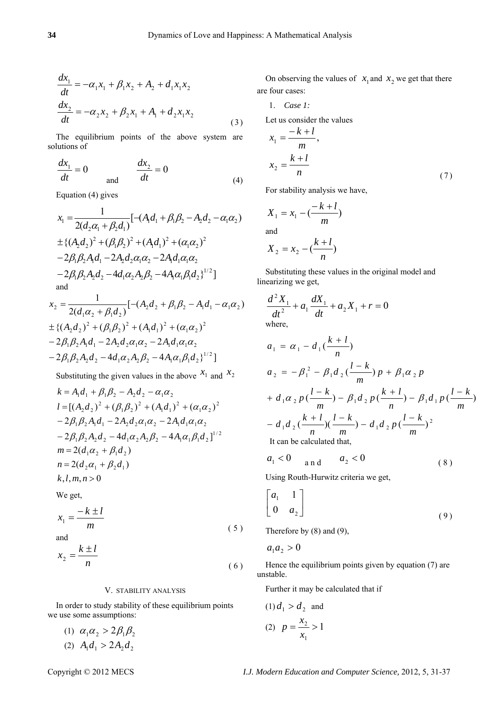$$
\frac{dx_1}{dt} = -\alpha_1 x_1 + \beta_1 x_2 + A_2 + d_1 x_1 x_2
$$
  
\n
$$
\frac{dx_2}{dt} = -\alpha_2 x_2 + \beta_2 x_1 + A_1 + d_2 x_1 x_2
$$
\n(3)

The equilibrium points of the above system are solutions of

$$
\frac{dx_1}{dt} = 0 \qquad \frac{dx_2}{dt} = 0 \tag{4}
$$

Equation (4) gives

$$
x_1 = \frac{1}{2(d_2\alpha_1 + \beta_2 d_1)} [-(A_1d_1 + \beta_1\beta_2 - A_2d_2 - \alpha_1\alpha_2)
$$
  
\n
$$
\pm \{ (A_2d_2)^2 + (\beta_1\beta_2)^2 + (A_1d_1)^2 + (\alpha_1\alpha_2)^2
$$
  
\n
$$
-2\beta_1\beta_2A_1d_1 - 2A_2d_2\alpha_1\alpha_2 - 2A_1d_1\alpha_1\alpha_2
$$
  
\n
$$
-2\beta_1\beta_2A_2d_2 - 4d_1\alpha_2A_2\beta_2 - 4A_1\alpha_1\beta_1d_2 \}^{1/2}]
$$
  
\nand

$$
x_2 = \frac{1}{2(d_1\alpha_2 + \beta_1d_2)}[-(A_2d_2 + \beta_1\beta_2 - A_1d_1 - \alpha_1\alpha_2)
$$
  
\n
$$
\pm \{(A_2d_2)^2 + (\beta_1\beta_2)^2 + (A_1d_1)^2 + (\alpha_1\alpha_2)^2
$$
  
\n
$$
-2\beta_1\beta_2A_1d_1 - 2A_2d_2\alpha_1\alpha_2 - 2A_1d_1\alpha_1\alpha_2
$$
  
\n
$$
-2\beta_1\beta_2A_2d_2 - 4d_1\alpha_2A_2\beta_2 - 4A_1\alpha_1\beta_1d_2\}^{1/2}]
$$

Substituting the given values in the above  $x_1$  and  $x_2$ 

$$
k = A_1 d_1 + \beta_1 \beta_2 - A_2 d_2 - \alpha_1 \alpha_2
$$
  
\n
$$
l = [(A_2 d_2)^2 + (\beta_1 \beta_2)^2 + (A_1 d_1)^2 + (\alpha_1 \alpha_2)^2
$$
  
\n
$$
- 2\beta_1 \beta_2 A_1 d_1 - 2A_2 d_2 \alpha_1 \alpha_2 - 2A_1 d_1 \alpha_1 \alpha_2
$$
  
\n
$$
- 2\beta_1 \beta_2 A_2 d_2 - 4d_1 \alpha_2 A_2 \beta_2 - 4A_1 \alpha_1 \beta_1 d_2]^{1/2}
$$
  
\n
$$
m = 2(d_1 \alpha_2 + \beta_1 d_2)
$$
  
\n
$$
n = 2(d_2 \alpha_1 + \beta_2 d_1)
$$
  
\n
$$
k, l, m, n > 0
$$

We get,

$$
x_1 = \frac{-k \pm l}{m} \tag{5}
$$

and  

$$
x_2 = \frac{k \pm l}{n}
$$

#### V. STABILITY ANALYSIS

In order to study stability of these equilibrium points we use some assumptions:

(1)  $\alpha_1 \alpha_2 > 2\beta_1 \beta_2$ (2)  $A_1 d_1 > 2 A_2 d_2$ 

On observing the values of  $x_1$  and  $x_2$  we get that there are four cases:

$$
1. \quad Case 1:
$$

Let us consider the values

$$
x_1 = \frac{-k+l}{m},
$$
  

$$
x_2 = \frac{k+l}{n}
$$
 (7)

For stability analysis we have,

$$
X_1 = x_1 - \left(\frac{-k+l}{m}\right)
$$
  
and  

$$
X_2 = x_2 - \left(\frac{k+l}{n}\right)
$$

 $\overline{a}$ 

Substituting these values in the original model and linearizing we get,

$$
\frac{d^2 X_1}{dt^2} + a_1 \frac{dX_1}{dt} + a_2 X_1 + r = 0
$$
  
where,

$$
a_1 = \alpha_1 - d_1(\frac{k+l}{n})
$$
  
\n
$$
a_2 = -\beta_1^2 - \beta_1 d_2(\frac{l-k}{m}) p + \beta_1 \alpha_2 p
$$
  
\n
$$
+ d_1 \alpha_2 p(\frac{l-k}{m}) - \beta_1 d_2 p(\frac{k+l}{n}) - \beta_1 d_1 p(\frac{l-k}{m})
$$
  
\n
$$
- d_1 d_2(\frac{k+l}{n})(\frac{l-k}{m}) - d_1 d_2 p(\frac{l-k}{m})^2
$$
  
\nIt can be calculated that,

$$
a_1 < 0 \quad \text{and} \quad a_2 < 0 \tag{8}
$$

Using Routh-Hurwitz criteria we get,

$$
\begin{bmatrix} a_1 & 1 \\ 0 & a_2 \end{bmatrix} \tag{9}
$$

Therefore by (8) and (9),

$$
a_1 a_2 > 0
$$

( 6 )

Hence the equilibrium points given by equation (7) are unstable.

Further it may be calculated that if

(1) 
$$
d_1 > d_2
$$
 and  
(2)  $p = \frac{x_2}{x_1} > 1$ 

Copyright © 2012 MECS *I.J. Modern Education and Computer Science,* 2012, 5, 31-37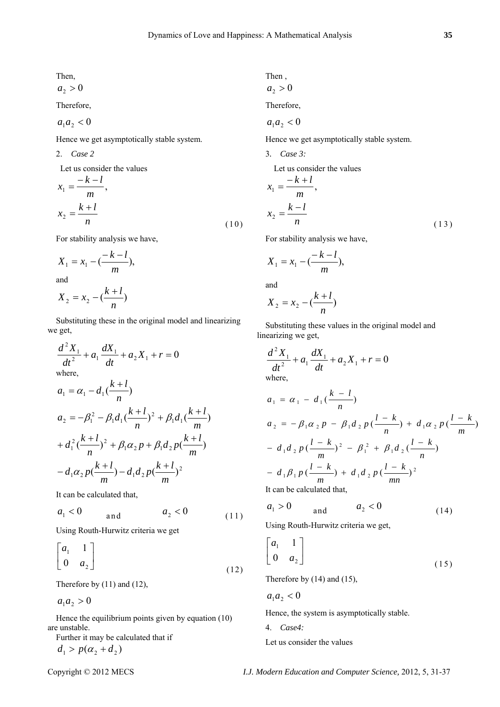Then,

 $a_2 > 0$ 

Therefore,

$$
a_1a_2<0
$$

Hence we get asymptotically stable system.

2. *Case 2* 

Let us consider the values

$$
x_1 = \frac{-k - l}{m},
$$
  

$$
x_2 = \frac{k + l}{n}
$$
 (10)

For stability analysis we have,

$$
X_1 = x_1 - \left(\frac{-k - l}{m}\right),
$$
  
and  

$$
k + l
$$

$$
X_2 = x_2 - \left(\frac{k+l}{n}\right)
$$

Substituting these in the original model and linearizing we get,

$$
\frac{d^2 X_1}{dt^2} + a_1 \frac{dX_1}{dt} + a_2 X_1 + r = 0
$$
  
where,

$$
a_1 = \alpha_1 - d_1 \left(\frac{k+l}{n}\right)
$$
  
\n
$$
a_2 = -\beta_1^2 - \beta_1 d_1 \left(\frac{k+l}{n}\right)^2 + \beta_1 d_1 \left(\frac{k+l}{m}\right)
$$
  
\n
$$
+ d_1^2 \left(\frac{k+l}{n}\right)^2 + \beta_1 \alpha_2 p + \beta_1 d_2 p \left(\frac{k+l}{m}\right)
$$
  
\n
$$
- d_1 \alpha_2 p \left(\frac{k+l}{m}\right) - d_1 d_2 p \left(\frac{k+l}{m}\right)^2
$$

It can be calculated that,

$$
a_1 < 0 \qquad \text{and} \qquad a_2 < 0 \tag{11}
$$

Using Routh-Hurwitz criteria we get

$$
\begin{bmatrix} a_1 & 1 \\ 0 & a_2 \end{bmatrix} \tag{12}
$$

Therefore by (11) and (12),

 $a_1 a_2 > 0$ 

Hence the equilibrium points given by equation (10) are unstable.<br>Eurthor it  $\mathbf{r}$ Further it may be calculated that if

 $d_1 > p(\alpha_2 + d_2)$ 

Then,  

$$
a_2 > 0
$$

Therefore,

$$
a_1 a_2 < 0
$$

Hence we get asymptotically stable system.

3*. Case 3:* 

Let us consider the values

$$
x_1 = \frac{-k+l}{m},
$$
  

$$
x_2 = \frac{k-l}{n}
$$
 (13)

For stability analysis we have,

$$
X_1 = x_1 - \left(\frac{-k-l}{m}\right),
$$

and

$$
X_2 = x_2 - \left(\frac{k+l}{n}\right)
$$

Substituting these values in the original model and linearizing we get,

$$
\frac{d^2 X_1}{dt^2} + a_1 \frac{dX_1}{dt} + a_2 X_1 + r = 0
$$
  
where,

$$
a_1 = \alpha_1 - d_1(\frac{k-l}{n})
$$
  
\n
$$
a_2 = -\beta_1 \alpha_2 p - \beta_1 d_2 p(\frac{l-k}{n}) + d_1 \alpha_2 p(\frac{l-k}{m})
$$
  
\n
$$
- d_1 d_2 p(\frac{l-k}{m})^2 - \beta_1^2 + \beta_1 d_2 (\frac{l-k}{n})
$$
  
\n
$$
- d_1 \beta_1 p(\frac{l-k}{m}) + d_1 d_2 p(\frac{l-k}{mn})^2
$$
  
\nIt can be calculated that.

It can be calculated that,

$$
a_1 > 0 \qquad \text{and} \qquad a_2 < 0 \tag{14}
$$

Using Routh-Hurwitz criteria we get,

$$
\begin{bmatrix} a_1 & 1 \\ 0 & a_2 \end{bmatrix} \tag{15}
$$

Therefore by (14) and (15),

$$
a_1a_2<0
$$

Hence, the system is asymptotically stable.

4. *Case4:* 

Let us consider the values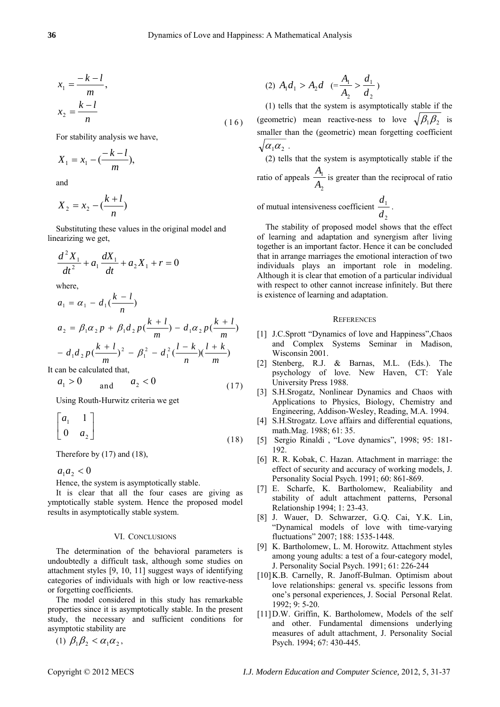$$
x_1 = \frac{-k - l}{m},
$$
  

$$
x_2 = \frac{k - l}{n}
$$
 (16)

For stability analysis we have,

$$
X_1 = x_1 - \frac{-k - l}{m},
$$

and

$$
X_2 = x_2 - \left(\frac{k+l}{n}\right)
$$

Substituting these values in the original model and linearizing we get,

$$
\frac{d^2X_1}{dt^2} + a_1\frac{dX_1}{dt} + a_2X_1 + r = 0
$$

where,

$$
a_1 = \alpha_1 - d_1(\frac{k-l}{n})
$$
  
\n
$$
a_2 = \beta_1 \alpha_2 p + \beta_1 d_2 p(\frac{k+l}{m}) - d_1 \alpha_2 p(\frac{k+l}{m})
$$
  
\n
$$
- d_1 d_2 p(\frac{k+l}{m})^2 - \beta_1^2 - d_1^2(\frac{l-k}{n})(\frac{l+k}{m})
$$
  
\ncan be calculated that

It can be calculated that,

$$
a_1 > 0 \qquad \text{and} \qquad a_2 < 0 \tag{17}
$$

Using Routh-Hurwitz criteria we get

$$
\begin{bmatrix} a_1 & 1 \\ 0 & a_2 \end{bmatrix} \tag{18}
$$

Therefore by (17) and (18),

 $a_1 a_2 < 0$ 

Hence, the system is asymptotically stable.

It is clear that all the four cases are giving as ymptotically stable system. Hence the proposed model results in asymptotically stable system.

#### VI. CONCLUSIONS

The determination of the behavioral parameters is undoubtedly a difficult task, although some studies on attachment styles [9, 10, 11] suggest ways of identifying categories of individuals with high or low reactive-ness or forgetting coefficients.

The model considered in this study has remarkable properties since it is asymptotically stable. In the present study, the necessary and sufficient conditions for asymptotic stability are

(1)  $\beta_1\beta_2 < \alpha_1\alpha_2$ ,

$$
(2) A_1 d_1 > A_2 d \quad (= \frac{A_1}{A_2} > \frac{d_1}{d_2})
$$

(1) tells that the system is asymptotically stable if the (geometric) mean reactive-ness to love  $\sqrt{\beta_1 \beta_2}$  is smaller than the (geometric) mean forgetting coefficient  $\sqrt{\alpha_1 \alpha_2}$ .

(2) tells that the system is asymptotically stable if the ratio of appeals 2 1 *A*  $\frac{A_1}{A_2}$  is greater than the reciprocal of ratio

of mutual intensiveness coefficient 
$$
\frac{d_1}{d_2}
$$
.

The stability of proposed model shows that the effect of learning and adaptation and synergism after living together is an important factor. Hence it can be concluded that in arrange marriages the emotional interaction of two individuals plays an important role in modeling. Although it is clear that emotion of a particular individual with respect to other cannot increase infinitely. But there is existence of learning and adaptation.

#### **REFERENCES**

- [1] J.C.Sprott "Dynamics of love and Happiness", Chaos and Complex Systems Seminar in Madison, Wisconsin 2001.
- [2] Stenberg, R.J. & Barnas, M.L. (Eds.). The psychology of love. New Haven, CT: Yale University Press 1988.
- [3] S.H.Srogatz, Nonlinear Dynamics and Chaos with Applications to Physics, Biology, Chemistry and Engineering, Addison-Wesley, Reading, M.A. 1994.
- [4] S.H.Strogatz. Love affairs and differential equations, math.Mag. 1988; 61: 35.
- [5] Sergio Rinaldi , "Love dynamics", 1998; 95: 181- 192.
- [6] R. R. Kobak, C. Hazan. Attachment in marriage: the effect of security and accuracy of working models, J. Personality Social Psych. 1991; 60: 861-869.
- [7] E. Scharfe, K. Bartholomew, Realiability and stability of adult attachment patterns, Personal Relationship 1994; 1: 23-43.
- [8] J. Wauer, D. Schwarzer, G.Q. Cai, Y.K. Lin, "Dynamical models of love with time-varying fluctuations" 2007; 188: 1535-1448.
- [9] K. Bartholomew, L. M. Horowitz. Attachment styles among young adults: a test of a four-category model, J. Personality Social Psych. 1991; 61: 226-244
- [10] K.B. Carnelly, R. Janoff-Bulman. Optimism about love relationships: general vs. specific lessons from one's personal experiences, J. Social Personal Relat. 1992; 9: 5-20.
- [11]D.W. Griffin, K. Bartholomew, Models of the self and other. Fundamental dimensions underlying measures of adult attachment, J. Personality Social Psych. 1994; 67: 430-445.